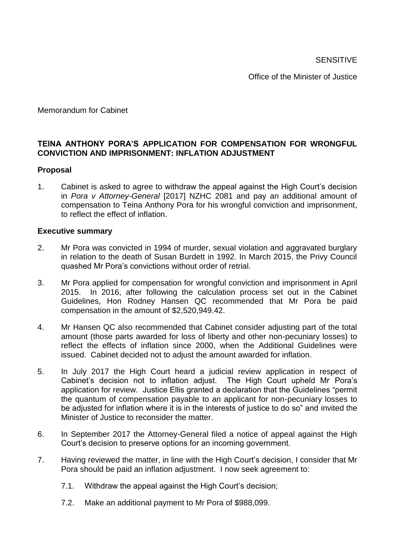**SENSITIVE** 

Office of the Minister of Justice

Memorandum for Cabinet

# **TEINA ANTHONY PORA'S APPLICATION FOR COMPENSATION FOR WRONGFUL CONVICTION AND IMPRISONMENT: INFLATION ADJUSTMENT**

#### **Proposal**

1. Cabinet is asked to agree to withdraw the appeal against the High Court's decision in *Pora v Attorney-General* [2017] NZHC 2081 and pay an additional amount of compensation to Teina Anthony Pora for his wrongful conviction and imprisonment, to reflect the effect of inflation.

#### **Executive summary**

- 2. Mr Pora was convicted in 1994 of murder, sexual violation and aggravated burglary in relation to the death of Susan Burdett in 1992. In March 2015, the Privy Council quashed Mr Pora's convictions without order of retrial.
- 3. Mr Pora applied for compensation for wrongful conviction and imprisonment in April 2015. In 2016, after following the calculation process set out in the Cabinet Guidelines, Hon Rodney Hansen QC recommended that Mr Pora be paid compensation in the amount of \$2,520,949.42.
- 4. Mr Hansen QC also recommended that Cabinet consider adjusting part of the total amount (those parts awarded for loss of liberty and other non-pecuniary losses) to reflect the effects of inflation since 2000, when the Additional Guidelines were issued. Cabinet decided not to adjust the amount awarded for inflation.
- 5. In July 2017 the High Court heard a judicial review application in respect of Cabinet's decision not to inflation adjust. The High Court upheld Mr Pora's application for review. Justice Ellis granted a declaration that the Guidelines "permit the quantum of compensation payable to an applicant for non-pecuniary losses to be adjusted for inflation where it is in the interests of justice to do so" and invited the Minister of Justice to reconsider the matter.
- 6. In September 2017 the Attorney-General filed a notice of appeal against the High Court's decision to preserve options for an incoming government.
- 7. Having reviewed the matter, in line with the High Court's decision, I consider that Mr Pora should be paid an inflation adjustment. I now seek agreement to:
	- 7.1. Withdraw the appeal against the High Court's decision;
	- 7.2. Make an additional payment to Mr Pora of \$988,099.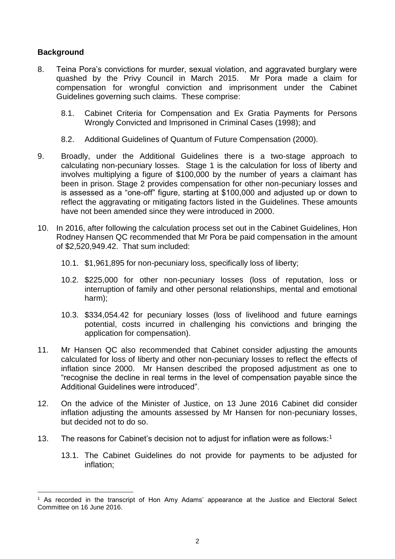# **Background**

1

- 8. Teina Pora's convictions for murder, sexual violation, and aggravated burglary were quashed by the Privy Council in March 2015. Mr Pora made a claim for compensation for wrongful conviction and imprisonment under the Cabinet Guidelines governing such claims. These comprise:
	- 8.1. Cabinet Criteria for Compensation and Ex Gratia Payments for Persons Wrongly Convicted and Imprisoned in Criminal Cases (1998); and
	- 8.2. Additional Guidelines of Quantum of Future Compensation (2000).
- 9. Broadly, under the Additional Guidelines there is a two-stage approach to calculating non-pecuniary losses. Stage 1 is the calculation for loss of liberty and involves multiplying a figure of \$100,000 by the number of years a claimant has been in prison. Stage 2 provides compensation for other non-pecuniary losses and is assessed as a "one-off" figure, starting at \$100,000 and adjusted up or down to reflect the aggravating or mitigating factors listed in the Guidelines. These amounts have not been amended since they were introduced in 2000.
- 10. In 2016, after following the calculation process set out in the Cabinet Guidelines, Hon Rodney Hansen QC recommended that Mr Pora be paid compensation in the amount of \$2,520,949.42. That sum included:
	- 10.1. \$1,961,895 for non-pecuniary loss, specifically loss of liberty;
	- 10.2. \$225,000 for other non-pecuniary losses (loss of reputation, loss or interruption of family and other personal relationships, mental and emotional harm);
	- 10.3. \$334,054.42 for pecuniary losses (loss of livelihood and future earnings potential, costs incurred in challenging his convictions and bringing the application for compensation).
- 11. Mr Hansen QC also recommended that Cabinet consider adjusting the amounts calculated for loss of liberty and other non-pecuniary losses to reflect the effects of inflation since 2000. Mr Hansen described the proposed adjustment as one to "recognise the decline in real terms in the level of compensation payable since the Additional Guidelines were introduced".
- 12. On the advice of the Minister of Justice, on 13 June 2016 Cabinet did consider inflation adjusting the amounts assessed by Mr Hansen for non-pecuniary losses, but decided not to do so.
- 13. The reasons for Cabinet's decision not to adjust for inflation were as follows:<sup>1</sup>
	- 13.1. The Cabinet Guidelines do not provide for payments to be adjusted for inflation;

<sup>&</sup>lt;sup>1</sup> As recorded in the transcript of Hon Amy Adams' appearance at the Justice and Electoral Select Committee on 16 June 2016.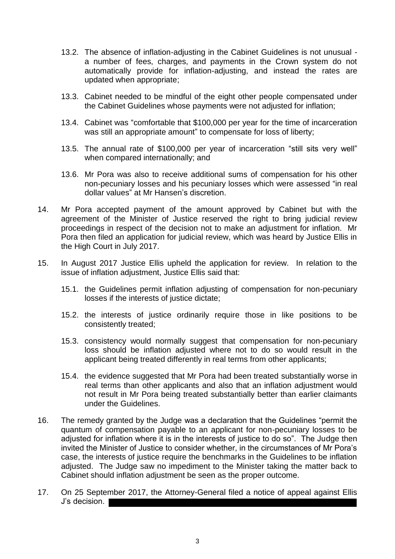- 13.2. The absence of inflation-adjusting in the Cabinet Guidelines is not unusual a number of fees, charges, and payments in the Crown system do not automatically provide for inflation-adjusting, and instead the rates are updated when appropriate;
- 13.3. Cabinet needed to be mindful of the eight other people compensated under the Cabinet Guidelines whose payments were not adjusted for inflation;
- 13.4. Cabinet was "comfortable that \$100,000 per year for the time of incarceration was still an appropriate amount" to compensate for loss of liberty;
- 13.5. The annual rate of \$100,000 per year of incarceration "still sits very well" when compared internationally; and
- 13.6. Mr Pora was also to receive additional sums of compensation for his other non-pecuniary losses and his pecuniary losses which were assessed "in real dollar values" at Mr Hansen's discretion.
- 14. Mr Pora accepted payment of the amount approved by Cabinet but with the agreement of the Minister of Justice reserved the right to bring judicial review proceedings in respect of the decision not to make an adjustment for inflation. Mr Pora then filed an application for judicial review, which was heard by Justice Ellis in the High Court in July 2017.
- 15. In August 2017 Justice Ellis upheld the application for review. In relation to the issue of inflation adjustment, Justice Ellis said that:
	- 15.1. the Guidelines permit inflation adjusting of compensation for non-pecuniary losses if the interests of justice dictate;
	- 15.2. the interests of justice ordinarily require those in like positions to be consistently treated;
	- 15.3. consistency would normally suggest that compensation for non-pecuniary loss should be inflation adjusted where not to do so would result in the applicant being treated differently in real terms from other applicants;
	- 15.4. the evidence suggested that Mr Pora had been treated substantially worse in real terms than other applicants and also that an inflation adjustment would not result in Mr Pora being treated substantially better than earlier claimants under the Guidelines.
- 16. The remedy granted by the Judge was a declaration that the Guidelines "permit the quantum of compensation payable to an applicant for non-pecuniary losses to be adjusted for inflation where it is in the interests of justice to do so". The Judge then invited the Minister of Justice to consider whether, in the circumstances of Mr Pora's case, the interests of justice require the benchmarks in the Guidelines to be inflation adjusted. The Judge saw no impediment to the Minister taking the matter back to Cabinet should inflation adjustment be seen as the proper outcome.
- 17. On 25 September 2017, the Attorney-General filed a notice of appeal against Ellis J's decision.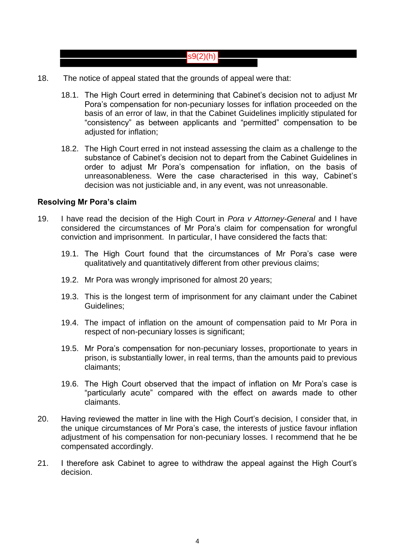# $|s9(2)(h)|$

- 18. The notice of appeal stated that the grounds of appeal were that:
	- 18.1. The High Court erred in determining that Cabinet's decision not to adjust Mr Pora's compensation for non-pecuniary losses for inflation proceeded on the basis of an error of law, in that the Cabinet Guidelines implicitly stipulated for "consistency" as between applicants and "permitted" compensation to be adjusted for inflation;
	- 18.2. The High Court erred in not instead assessing the claim as a challenge to the substance of Cabinet's decision not to depart from the Cabinet Guidelines in order to adjust Mr Pora's compensation for inflation, on the basis of unreasonableness. Were the case characterised in this way, Cabinet's decision was not justiciable and, in any event, was not unreasonable.

#### **Resolving Mr Pora's claim**

- 19. I have read the decision of the High Court in *Pora v Attorney-General* and I have considered the circumstances of Mr Pora's claim for compensation for wrongful conviction and imprisonment. In particular, I have considered the facts that:
	- 19.1. The High Court found that the circumstances of Mr Pora's case were qualitatively and quantitatively different from other previous claims;
	- 19.2. Mr Pora was wrongly imprisoned for almost 20 years;
	- 19.3. This is the longest term of imprisonment for any claimant under the Cabinet Guidelines;
	- 19.4. The impact of inflation on the amount of compensation paid to Mr Pora in respect of non-pecuniary losses is significant;
	- 19.5. Mr Pora's compensation for non-pecuniary losses, proportionate to years in prison, is substantially lower, in real terms, than the amounts paid to previous claimants;
	- 19.6. The High Court observed that the impact of inflation on Mr Pora's case is "particularly acute" compared with the effect on awards made to other claimants.
- 20. Having reviewed the matter in line with the High Court's decision, I consider that, in the unique circumstances of Mr Pora's case, the interests of justice favour inflation adjustment of his compensation for non-pecuniary losses. I recommend that he be compensated accordingly.
- 21. I therefore ask Cabinet to agree to withdraw the appeal against the High Court's decision.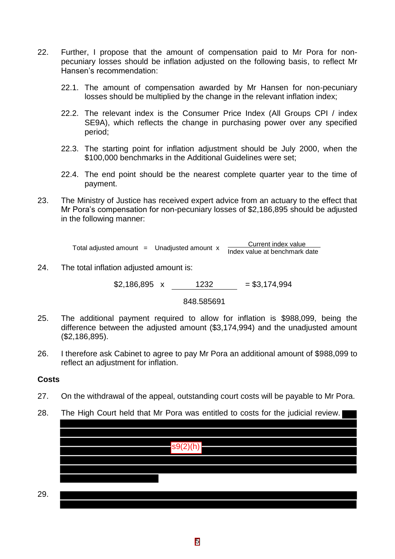- 22. Further, I propose that the amount of compensation paid to Mr Pora for nonpecuniary losses should be inflation adjusted on the following basis, to reflect Mr Hansen's recommendation:
	- 22.1. The amount of compensation awarded by Mr Hansen for non-pecuniary losses should be multiplied by the change in the relevant inflation index;
	- 22.2. The relevant index is the Consumer Price Index (All Groups CPI / index SE9A), which reflects the change in purchasing power over any specified period;
	- 22.3. The starting point for inflation adjustment should be July 2000, when the \$100,000 benchmarks in the Additional Guidelines were set;
	- 22.4. The end point should be the nearest complete quarter year to the time of payment.
- 23. The Ministry of Justice has received expert advice from an actuary to the effect that Mr Pora's compensation for non-pecuniary losses of \$2,186,895 should be adjusted in the following manner:

Total adjusted amount = Unadjusted amount x current index value Index value at benchmark date

24. The total inflation adjusted amount is:

 $$2,186,895 \times 1232 = $3,174,994$ 

848.585691

- 25. The additional payment required to allow for inflation is \$988,099, being the difference between the adjusted amount (\$3,174,994) and the unadjusted amount (\$2,186,895).
- 26. I therefore ask Cabinet to agree to pay Mr Pora an additional amount of \$988,099 to reflect an adjustment for inflation.

# **Costs**

- 27. On the withdrawal of the appeal, outstanding court costs will be payable to Mr Pora.
- 28. The High Court held that Mr Pora was entitled to costs for the judicial review.

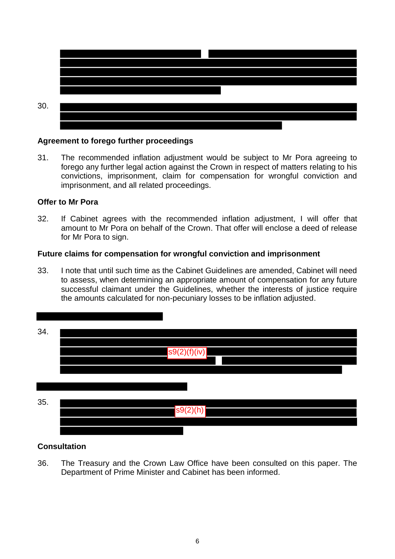

#### **Agreement to forego further proceedings**

31. The recommended inflation adjustment would be subject to Mr Pora agreeing to forego any further legal action against the Crown in respect of matters relating to his convictions, imprisonment, claim for compensation for wrongful conviction and imprisonment, and all related proceedings.

#### **Offer to Mr Pora**

32. If Cabinet agrees with the recommended inflation adjustment, I will offer that amount to Mr Pora on behalf of the Crown. That offer will enclose a deed of release for Mr Pora to sign.

#### **Future claims for compensation for wrongful conviction and imprisonment**

33. I note that until such time as the Cabinet Guidelines are amended, Cabinet will need to assess, when determining an appropriate amount of compensation for any future successful claimant under the Guidelines, whether the interests of justice require the amounts calculated for non-pecuniary losses to be inflation adjusted.



# **Consultation**

36. The Treasury and the Crown Law Office have been consulted on this paper. The Department of Prime Minister and Cabinet has been informed.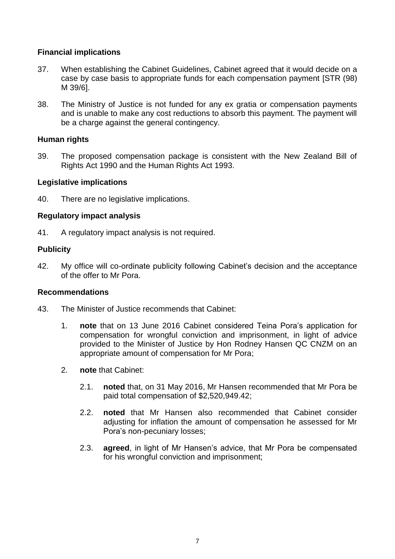# **Financial implications**

- 37. When establishing the Cabinet Guidelines, Cabinet agreed that it would decide on a case by case basis to appropriate funds for each compensation payment [STR (98) M 39/6].
- 38. The Ministry of Justice is not funded for any ex gratia or compensation payments and is unable to make any cost reductions to absorb this payment. The payment will be a charge against the general contingency.

# **Human rights**

39. The proposed compensation package is consistent with the New Zealand Bill of Rights Act 1990 and the Human Rights Act 1993.

# **Legislative implications**

40. There are no legislative implications.

#### **Regulatory impact analysis**

41. A regulatory impact analysis is not required.

# **Publicity**

42. My office will co-ordinate publicity following Cabinet's decision and the acceptance of the offer to Mr Pora.

#### **Recommendations**

- 43. The Minister of Justice recommends that Cabinet:
	- 1. **note** that on 13 June 2016 Cabinet considered Teina Pora's application for compensation for wrongful conviction and imprisonment, in light of advice provided to the Minister of Justice by Hon Rodney Hansen QC CNZM on an appropriate amount of compensation for Mr Pora;
	- 2. **note** that Cabinet:
		- 2.1. **noted** that, on 31 May 2016, Mr Hansen recommended that Mr Pora be paid total compensation of \$2,520,949.42;
		- 2.2. **noted** that Mr Hansen also recommended that Cabinet consider adjusting for inflation the amount of compensation he assessed for Mr Pora's non-pecuniary losses;
		- 2.3. **agreed**, in light of Mr Hansen's advice, that Mr Pora be compensated for his wrongful conviction and imprisonment;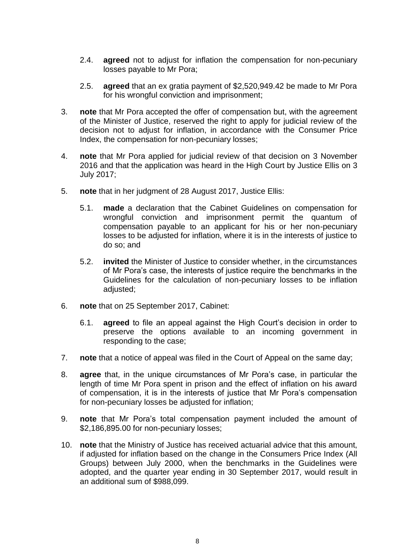- 2.4. **agreed** not to adjust for inflation the compensation for non-pecuniary losses payable to Mr Pora;
- 2.5. **agreed** that an ex gratia payment of \$2,520,949.42 be made to Mr Pora for his wrongful conviction and imprisonment;
- 3. **note** that Mr Pora accepted the offer of compensation but, with the agreement of the Minister of Justice, reserved the right to apply for judicial review of the decision not to adjust for inflation, in accordance with the Consumer Price Index, the compensation for non-pecuniary losses;
- 4. **note** that Mr Pora applied for judicial review of that decision on 3 November 2016 and that the application was heard in the High Court by Justice Ellis on 3 July 2017;
- 5. **note** that in her judgment of 28 August 2017, Justice Ellis:
	- 5.1. **made** a declaration that the Cabinet Guidelines on compensation for wrongful conviction and imprisonment permit the quantum of compensation payable to an applicant for his or her non-pecuniary losses to be adjusted for inflation, where it is in the interests of justice to do so; and
	- 5.2. **invited** the Minister of Justice to consider whether, in the circumstances of Mr Pora's case, the interests of justice require the benchmarks in the Guidelines for the calculation of non-pecuniary losses to be inflation adjusted;
- 6. **note** that on 25 September 2017, Cabinet:
	- 6.1. **agreed** to file an appeal against the High Court's decision in order to preserve the options available to an incoming government in responding to the case;
- 7. **note** that a notice of appeal was filed in the Court of Appeal on the same day;
- 8. **agree** that, in the unique circumstances of Mr Pora's case, in particular the length of time Mr Pora spent in prison and the effect of inflation on his award of compensation, it is in the interests of justice that Mr Pora's compensation for non-pecuniary losses be adjusted for inflation;
- 9. **note** that Mr Pora's total compensation payment included the amount of \$2,186,895.00 for non-pecuniary losses;
- 10. **note** that the Ministry of Justice has received actuarial advice that this amount, if adjusted for inflation based on the change in the Consumers Price Index (All Groups) between July 2000, when the benchmarks in the Guidelines were adopted, and the quarter year ending in 30 September 2017, would result in an additional sum of \$988,099.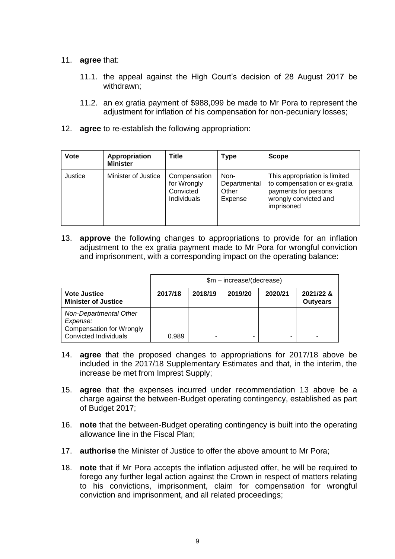### 11. **agree** that:

- 11.1. the appeal against the High Court's decision of 28 August 2017 be withdrawn;
- 11.2. an ex gratia payment of \$988,099 be made to Mr Pora to represent the adjustment for inflation of his compensation for non-pecuniary losses;
- 12. **agree** to re-establish the following appropriation:

| <b>Vote</b> | Appropriation<br><b>Minister</b> | <b>Title</b>                                                   | Type                                     | <b>Scope</b>                                                                                                                 |
|-------------|----------------------------------|----------------------------------------------------------------|------------------------------------------|------------------------------------------------------------------------------------------------------------------------------|
| Justice     | Minister of Justice              | Compensation<br>for Wrongly<br>Convicted<br><b>Individuals</b> | Non-<br>Departmental<br>Other<br>Expense | This appropriation is limited<br>to compensation or ex-gratia<br>payments for persons<br>wrongly convicted and<br>imprisoned |

13. **approve** the following changes to appropriations to provide for an inflation adjustment to the ex gratia payment made to Mr Pora for wrongful conviction and imprisonment, with a corresponding impact on the operating balance:

|                                                                                                | \$m - increase/(decrease) |         |         |         |                              |  |  |
|------------------------------------------------------------------------------------------------|---------------------------|---------|---------|---------|------------------------------|--|--|
| <b>Vote Justice</b><br><b>Minister of Justice</b>                                              | 2017/18                   | 2018/19 | 2019/20 | 2020/21 | 2021/22 &<br><b>Outyears</b> |  |  |
| Non-Departmental Other<br>Expense:<br><b>Compensation for Wrongly</b><br>Convicted Individuals | 0.989                     |         |         | -       |                              |  |  |

- 14. **agree** that the proposed changes to appropriations for 2017/18 above be included in the 2017/18 Supplementary Estimates and that, in the interim, the increase be met from Imprest Supply;
- 15. **agree** that the expenses incurred under recommendation 13 above be a charge against the between-Budget operating contingency, established as part of Budget 2017;
- 16. **note** that the between-Budget operating contingency is built into the operating allowance line in the Fiscal Plan;
- 17. **authorise** the Minister of Justice to offer the above amount to Mr Pora;
- 18. **note** that if Mr Pora accepts the inflation adjusted offer, he will be required to forego any further legal action against the Crown in respect of matters relating to his convictions, imprisonment, claim for compensation for wrongful conviction and imprisonment, and all related proceedings;